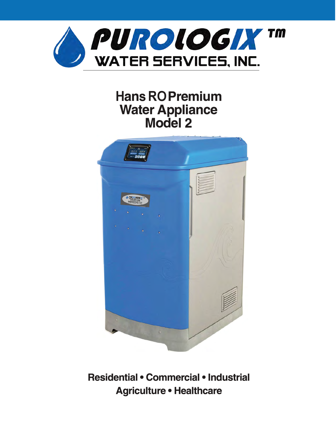

## **Hans RO Premium Water Appliance Model 2**



**Residential• Commercial• Industrial Agriculture• Healthcare**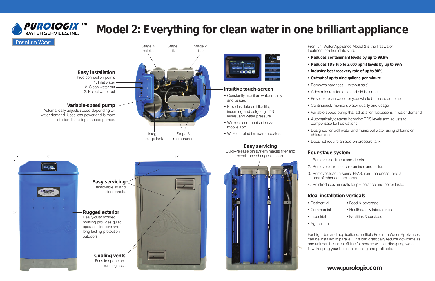## **PUROLOGIX TM** WATER SERVICES INC

# **Model 2: Everything for clean water in one brilliant appliance**

### **Premium Water**

#### **Easy installation** Three connection points

1. Inlet water 2. Clean water out 3. Reject water out

### **Variable-speed pump**

Automatically adjusts speed depending on water demand. Uses less power and is more efficient than single-speed pumps.

### **Easy servicing**

Quick-release pin system makes filter and membrane changes a snap.



- Constantly monitors water quality and usage.
- Provides data on filter life, incoming and outgoing TDS levels, and water pressure.
- Wireless communication via mobile app.
- Wi-Fi enabled firmware updates.

### **Intuitive touch-screen**

- Removes hardness... without salt\*\*
- Adds minerals for taste and pH balance
- Continuously monitors water quality and usage



ter o gal Total was a gal  $-$  0008

- 1. Removes sediment and debris.
- 2. Removes chlorine, chloramines and sulfur.
- 3. Removes lead, arsenic, PFAS, iron\*, hardness\* and a host of other contaminants.
	-
- Residential Food & beverage
	-
- 
- 
- Commercial Healthcare & laboratories
- Industrial Facilities & services



Premium Water Appliance Model 2 is the first water treatment solution of its kind.

#### • **Reduces contaminant levels by up to 99.9%**

#### • **Reduces TDS (up to 3,000 ppm) levels by up to 99%**

#### • **Industry-best recovery rate of up to 90%**

#### • **Output of up to nine gallons per minute**

- 
- -
- 
- 
- Provides clean water for your whole business or home
- 
- Variable-speed pump that adjusts for fluctuations in water demand
	- Automatically detects incoming TDS levels and adjusts to compensate for fluctuations
	- Designed for well water and municipal water using chlorine or chloramines
	- Does not require an add-on pressure tank

### **Four-stage system**

- 
- 
- 
- 4. Reintroduces minerals for pH balance and better taste.

### **Ideal installation verticals**

- 
- 
- 
- Agriculture

For high-demand applications, multiple Premium Water Appliances can be installed in parallel. This can drastically reduce downtime as one unit can be taken off line for service without disrupting water flow, keeping your business running and profitable.

### **www.purologix.com**